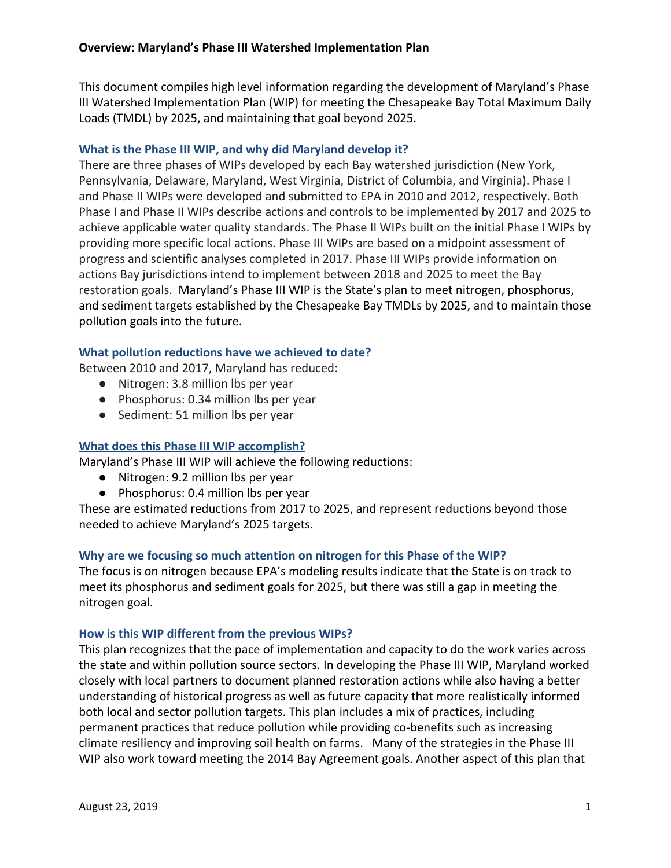This document compiles high level information regarding the development of Maryland's Phase III Watershed Implementation Plan (WIP) for meeting the Chesapeake Bay Total Maximum Daily Loads (TMDL) by 2025, and maintaining that goal beyond 2025.

# **What is the Phase III WIP, and why did Maryland develop it?**

There are three phases of WIPs developed by each Bay watershed jurisdiction (New York, Pennsylvania, Delaware, Maryland, West Virginia, District of Columbia, and Virginia). Phase I and Phase II WIPs were developed and submitted to EPA in 2010 and 2012, respectively. Both Phase I and Phase II WIPs describe actions and controls to be implemented by 2017 and 2025 to achieve applicable water quality standards. The Phase II WIPs built on the initial Phase I WIPs by providing more specific local actions. Phase III WIPs are based on a midpoint assessment of progress and scientific analyses completed in 2017. Phase III WIPs provide information on actions Bay jurisdictions intend to implement between 2018 and 2025 to meet the Bay restoration goals. Maryland's Phase III WIP is the State's plan to meet nitrogen, phosphorus, and sediment targets established by the Chesapeake Bay TMDLs by 2025, and to maintain those pollution goals into the future.

## **What pollution reductions have we achieved to date?**

Between 2010 and 2017, Maryland has reduced:

- Nitrogen: 3.8 million lbs per year
- Phosphorus: 0.34 million lbs per year
- Sediment: 51 million lbs per year

### **What does this Phase III WIP accomplish?**

Maryland's Phase III WIP will achieve the following reductions:

- Nitrogen: 9.2 million lbs per year
- Phosphorus: 0.4 million lbs per year

These are estimated reductions from 2017 to 2025, and represent reductions beyond those needed to achieve Maryland's 2025 targets.

### **Why are we focusing so much attention on nitrogen for this Phase of the WIP?**

The focus is on nitrogen because EPA's modeling results indicate that the State is on track to meet its phosphorus and sediment goals for 2025, but there was still a gap in meeting the nitrogen goal.

### **How is this WIP different from the previous WIPs?**

This plan recognizes that the pace of implementation and capacity to do the work varies across the state and within pollution source sectors. In developing the Phase III WIP, Maryland worked closely with local partners to document planned restoration actions while also having a better understanding of historical progress as well as future capacity that more realistically informed both local and sector pollution targets. This plan includes a mix of practices, including permanent practices that reduce pollution while providing co-benefits such as increasing climate resiliency and improving soil health on farms. Many of the strategies in the Phase III WIP also work toward meeting the 2014 Bay Agreement goals. Another aspect of this plan that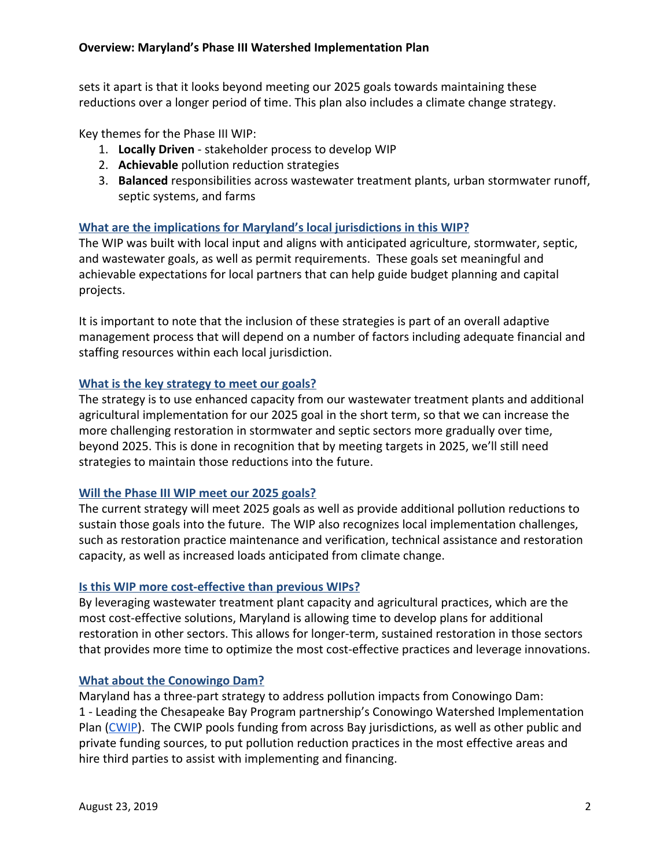sets it apart is that it looks beyond meeting our 2025 goals towards maintaining these reductions over a longer period of time. This plan also includes a climate change strategy.

Key themes for the Phase III WIP:

- 1. **Locally Driven** stakeholder process to develop WIP
- 2. **Achievable** pollution reduction strategies
- 3. **Balanced** responsibilities across wastewater treatment plants, urban stormwater runoff, septic systems, and farms

# **What are the implications for Maryland's local jurisdictions in this WIP?**

The WIP was built with local input and aligns with anticipated agriculture, stormwater, septic, and wastewater goals, as well as permit requirements. These goals set meaningful and achievable expectations for local partners that can help guide budget planning and capital projects.

It is important to note that the inclusion of these strategies is part of an overall adaptive management process that will depend on a number of factors including adequate financial and staffing resources within each local jurisdiction.

## **What is the key strategy to meet our goals?**

The strategy is to use enhanced capacity from our wastewater treatment plants and additional agricultural implementation for our 2025 goal in the short term, so that we can increase the more challenging restoration in stormwater and septic sectors more gradually over time, beyond 2025. This is done in recognition that by meeting targets in 2025, we'll still need strategies to maintain those reductions into the future.

# **Will the Phase III WIP meet our 2025 goals?**

The current strategy will meet 2025 goals as well as provide additional pollution reductions to sustain those goals into the future. The WIP also recognizes local implementation challenges, such as restoration practice maintenance and verification, technical assistance and restoration capacity, as well as increased loads anticipated from climate change.

# **Is this WIP more cost-effective than previous WIPs?**

By leveraging wastewater treatment plant capacity and agricultural practices, which are the most cost-effective solutions, Maryland is allowing time to develop plans for additional restoration in other sectors. This allows for longer-term, sustained restoration in those sectors that provides more time to optimize the most cost-effective practices and leverage innovations.

# **What about the Conowingo Dam?**

Maryland has a three-part strategy to address pollution impacts from Conowingo Dam: 1 - Leading the Chesapeake Bay Program partnership's Conowingo Watershed Implementation Plan [\(CWIP\)](https://www.chesapeakebay.net/who/group/conowingo_watershed_implementation_plan_steering_committee). The CWIP pools funding from across Bay jurisdictions, as well as other public and private funding sources, to put pollution reduction practices in the most effective areas and hire third parties to assist with implementing and financing.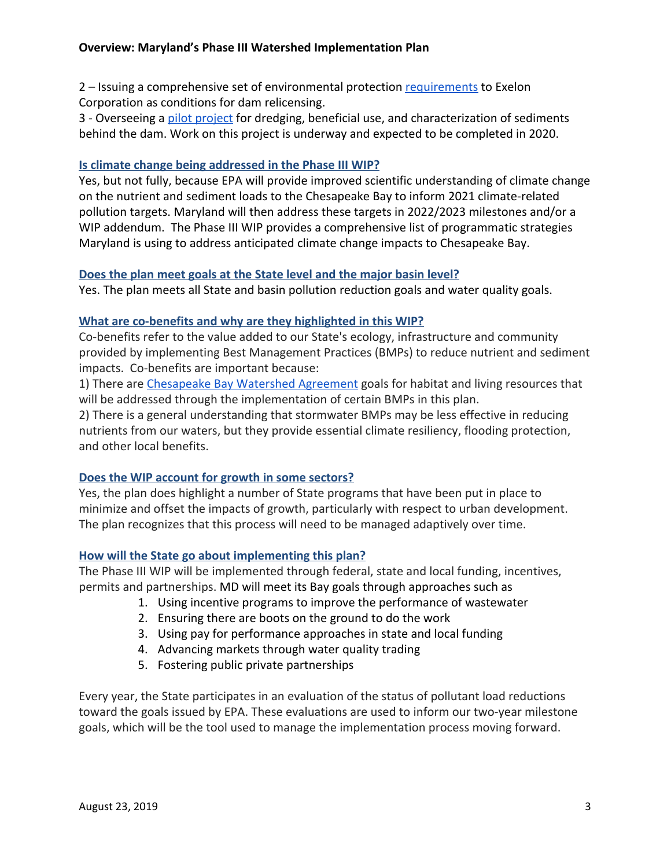## **Overview: Maryland's Phase III Watershed Implementation Plan**

2 – Issuing a comprehensive set of environmental protection [requirements](https://mde.maryland.gov/programs/Water/WetlandsandWaterways/Pages/ExelonMD-Conowingo-WQCApp.aspx) to Exelon Corporation as conditions for dam relicensing.

3 - Overseeing a [pilot project](https://mde.maryland.gov/programs/Marylander/Pages/conowingo_pilot.aspx) for dredging, beneficial use, and characterization of sediments behind the dam. Work on this project is underway and expected to be completed in 2020.

### **Is climate change being addressed in the Phase III WIP?**

Yes, but not fully, because EPA will provide improved scientific understanding of climate change on the nutrient and sediment loads to the Chesapeake Bay to inform 2021 climate-related pollution targets. Maryland will then address these targets in 2022/2023 milestones and/or a WIP addendum. The Phase III WIP provides a comprehensive list of programmatic strategies Maryland is using to address anticipated climate change impacts to Chesapeake Bay.

## **Does the plan meet goals at the State level and the major basin level?**

Yes. The plan meets all State and basin pollution reduction goals and water quality goals.

## **What are co-benefits and why are they highlighted in this WIP?**

Co-benefits refer to the value added to our State's ecology, infrastructure and community provided by implementing Best Management Practices (BMPs) to reduce nutrient and sediment impacts. Co-benefits are important because:

1) There are [Chesapeake Bay Watershed Agreement](https://www.chesapeakebay.net/what/what_guides_us/watershed_agreement) goals for habitat and living resources that will be addressed through the implementation of certain BMPs in this plan.

2) There is a general understanding that stormwater BMPs may be less effective in reducing nutrients from our waters, but they provide essential climate resiliency, flooding protection, and other local benefits.

### **Does the WIP account for growth in some sectors?**

Yes, the plan does highlight a number of State programs that have been put in place to minimize and offset the impacts of growth, particularly with respect to urban development. The plan recognizes that this process will need to be managed adaptively over time.

### **How will the State go about implementing this plan?**

The Phase III WIP will be implemented through federal, state and local funding, incentives, permits and partnerships. MD will meet its Bay goals through approaches such as

- 1. Using incentive programs to improve the performance of wastewater
- 2. Ensuring there are boots on the ground to do the work
- 3. Using pay for performance approaches in state and local funding
- 4. Advancing markets through water quality trading
- 5. Fostering public private partnerships

Every year, the State participates in an evaluation of the status of pollutant load reductions toward the goals issued by EPA. These evaluations are used to inform our two-year milestone goals, which will be the tool used to manage the implementation process moving forward.